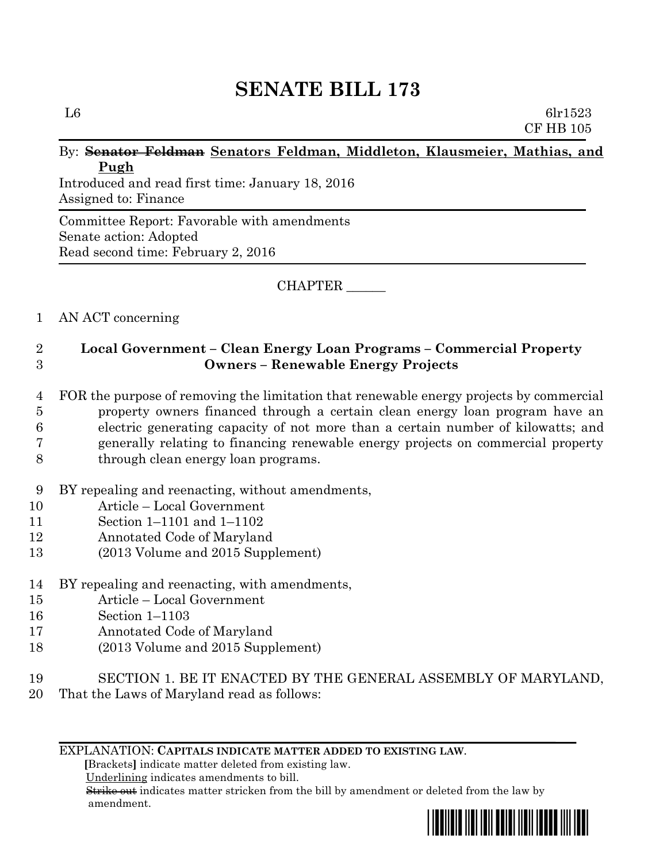# **SENATE BILL 173**

L6 6lr1523 CF HB 105

#### By: **Senator Feldman Senators Feldman, Middleton, Klausmeier, Mathias, and Pugh**

Introduced and read first time: January 18, 2016 Assigned to: Finance

Committee Report: Favorable with amendments Senate action: Adopted Read second time: February 2, 2016

CHAPTER \_\_\_\_\_\_

### 1 AN ACT concerning

## 2 **Local Government – Clean Energy Loan Programs – Commercial Property**  3 **Owners – Renewable Energy Projects**

- 4 FOR the purpose of removing the limitation that renewable energy projects by commercial 5 property owners financed through a certain clean energy loan program have an 6 electric generating capacity of not more than a certain number of kilowatts; and 7 generally relating to financing renewable energy projects on commercial property
- 8 through clean energy loan programs.
- 9 BY repealing and reenacting, without amendments,
- 10 Article Local Government
- 11 Section 1–1101 and 1–1102
- 12 Annotated Code of Maryland
- 13 (2013 Volume and 2015 Supplement)
- 14 BY repealing and reenacting, with amendments,
- 15 Article Local Government
- 16 Section 1–1103
- 17 Annotated Code of Maryland
- 18 (2013 Volume and 2015 Supplement)
- 19 SECTION 1. BE IT ENACTED BY THE GENERAL ASSEMBLY OF MARYLAND,
- 20 That the Laws of Maryland read as follows:

#### EXPLANATION: **CAPITALS INDICATE MATTER ADDED TO EXISTING LAW**.

 **[**Brackets**]** indicate matter deleted from existing law.

Underlining indicates amendments to bill.

 Strike out indicates matter stricken from the bill by amendment or deleted from the law by amendment.